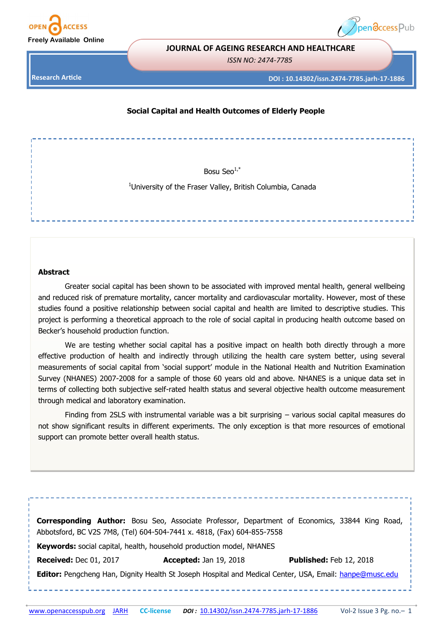



#### **JOURNAL OF AGEING RESEARCH AND HEALTHCARE**

*ISSN NO: 2474-7785* 

**Research Article**

#### **DOI : 10.14302/issn.2474-7785.jarh-17-1886**

## **Social Capital and Health Outcomes of Elderly People**

Bosu Seo $1, *$ 

<sup>1</sup>University of the Fraser Valley, British Columbia, Canada

# **Abstract**

Greater social capital has been shown to be associated with improved mental health, general wellbeing and reduced risk of premature mortality, cancer mortality and cardiovascular mortality. However, most of these studies found a positive relationship between social capital and health are limited to descriptive studies. This project is performing a theoretical approach to the role of social capital in producing health outcome based on Becker's household production function.

We are testing whether social capital has a positive impact on health both directly through a more effective production of health and indirectly through utilizing the health care system better, using several measurements of social capital from 'social support' module in the National Health and Nutrition Examination Survey (NHANES) 2007-2008 for a sample of those 60 years old and above. NHANES is a unique data set in terms of collecting both subjective self-rated health status and several objective health outcome measurement through medical and laboratory examination.

Finding from 2SLS with instrumental variable was a bit surprising – various social capital measures do not show significant results in different experiments. The only exception is that more resources of emotional support can promote better overall health status.

|                                                                             |                                                                                                                | <b>Corresponding Author:</b> Bosu Seo, Associate Professor, Department of Economics, 33844 King Road, |
|-----------------------------------------------------------------------------|----------------------------------------------------------------------------------------------------------------|-------------------------------------------------------------------------------------------------------|
|                                                                             | Abbotsford, BC V2S 7M8, (Tel) 604-504-7441 x. 4818, (Fax) 604-855-7558                                         |                                                                                                       |
| <b>Keywords:</b> social capital, health, household production model, NHANES |                                                                                                                |                                                                                                       |
| <b>Received: Dec 01, 2017</b>                                               | Accepted: Jan 19, 2018                                                                                         | <b>Published: Feb 12, 2018</b>                                                                        |
|                                                                             | <b>Editor:</b> Pengcheng Han, Dignity Health St Joseph Hospital and Medical Center, USA, Email: hanpe@musc.edu |                                                                                                       |
|                                                                             |                                                                                                                |                                                                                                       |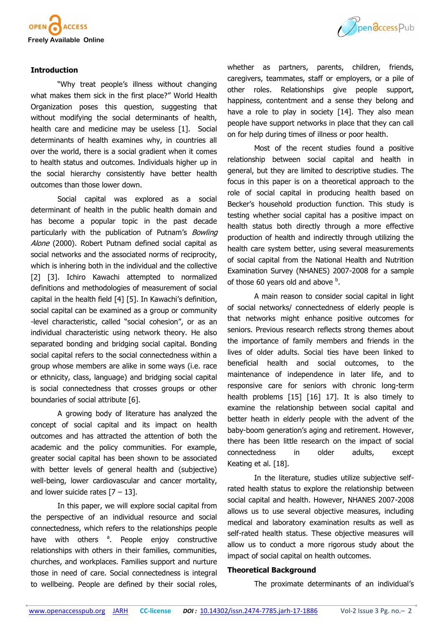

## **Introduction**

"Why treat people's illness without changing what makes them sick in the first place?" World Health Organization poses this question, suggesting that without modifying the social determinants of health, health care and medicine may be useless [1]. Social determinants of health examines why, in countries all over the world, there is a social gradient when it comes to health status and outcomes. Individuals higher up in the social hierarchy consistently have better health outcomes than those lower down.

Social capital was explored as a social determinant of health in the public health domain and has become a popular topic in the past decade particularly with the publication of Putnam's Bowling Alone (2000). Robert Putnam defined social capital as social networks and the associated norms of reciprocity, which is inhering both in the individual and the collective [2] [3]. Ichiro Kawachi attempted to normalized definitions and methodologies of measurement of social capital in the health field [4] [5]. In Kawachi's definition, social capital can be examined as a group or community -level characteristic, called "social cohesion", or as an individual characteristic using network theory. He also separated bonding and bridging social capital. Bonding social capital refers to the social connectedness within a group whose members are alike in some ways (i.e. race or ethnicity, class, language) and bridging social capital is social connectedness that crosses groups or other boundaries of social attribute [6].

A growing body of literature has analyzed the concept of social capital and its impact on health outcomes and has attracted the attention of both the academic and the policy communities. For example, greater social capital has been shown to be associated with better levels of general health and (subjective) well-being, lower cardiovascular and cancer mortality, and lower suicide rates  $[7 - 13]$ .

In this paper, we will explore social capital from the perspective of an individual resource and social connectedness, which refers to the relationships people have with others <sup>a</sup>. People enjoy constructive relationships with others in their families, communities, churches, and workplaces. Families support and nurture those in need of care. Social connectedness is integral to wellbeing. People are defined by their social roles,



whether as partners, parents, children, friends, caregivers, teammates, staff or employers, or a pile of other roles. Relationships give people support, happiness, contentment and a sense they belong and have a role to play in society [14]. They also mean people have support networks in place that they can call on for help during times of illness or poor health.

Most of the recent studies found a positive relationship between social capital and health in general, but they are limited to descriptive studies. The focus in this paper is on a theoretical approach to the role of social capital in producing health based on Becker's household production function. This study is testing whether social capital has a positive impact on health status both directly through a more effective production of health and indirectly through utilizing the health care system better, using several measurements of social capital from the National Health and Nutrition Examination Survey (NHANES) 2007-2008 for a sample of those 60 years old and above  $<sup>b</sup>$ .</sup>

A main reason to consider social capital in light of social networks/ connectedness of elderly people is that networks might enhance positive outcomes for seniors. Previous research reflects strong themes about the importance of family members and friends in the lives of older adults. Social ties have been linked to beneficial health and social outcomes, to the maintenance of independence in later life, and to responsive care for seniors with chronic long-term health problems [15] [16] 17]. It is also timely to examine the relationship between social capital and better heath in elderly people with the advent of the baby-boom generation's aging and retirement. However, there has been little research on the impact of social connectedness in older adults, except Keating et al. [18].

In the literature, studies utilize subjective selfrated health status to explore the relationship between social capital and health. However, NHANES 2007-2008 allows us to use several objective measures, including medical and laboratory examination results as well as self-rated health status. These objective measures will allow us to conduct a more rigorous study about the impact of social capital on health outcomes.

#### **Theoretical Background**

The proximate determinants of an individual's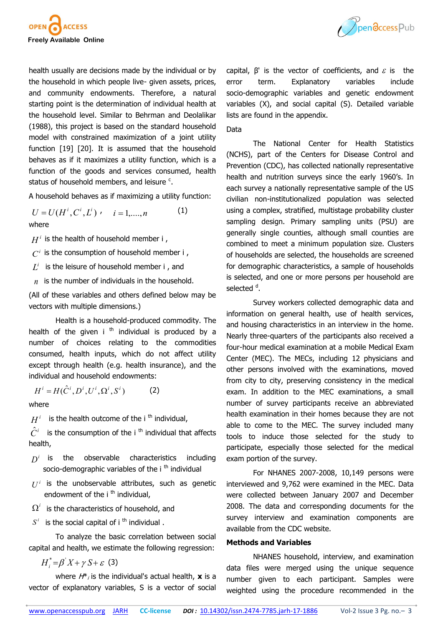

health usually are decisions made by the individual or by the household in which people live- given assets, prices, and community endowments. Therefore, a natural starting point is the determination of individual health at the household level. Similar to Behrman and Deolalikar (1988), this project is based on the standard household model with constrained maximization of a joint utility function [19] [20]. It is assumed that the household behaves as if it maximizes a utility function, which is a function of the goods and services consumed, health status of household members, and leisure <sup>c</sup>.

A household behaves as if maximizing a utility function:

 $U = U(H^i, C^i, L^i)$  ,  $i = 1, \dots, n$  (1) L where

 $H^i$  is the health of household member i ,

 $C^i$  is the consumption of household member i ,

- $L^i$  is the leisure of household member i, and
- $n$  is the number of individuals in the household.

(All of these variables and others defined below may be vectors with multiple dimensions.)

Health is a household-produced commodity. The health of the given i  $<sup>th</sup>$  individual is produced by a</sup> number of choices relating to the commodities consumed, health inputs, which do not affect utility except through health (e.g. health insurance), and the individual and household endowments:

$$
H^{i} = H(\hat{C}^{i}, D^{i}, U^{i}, \Omega^{i}, S^{i})
$$
 (2) exam

where

 $H^i$  is the health outcome of the i <sup>th</sup> individual,

 $\hat{C}^i$  is the consumption of the i <sup>th</sup> individual that affects health,

- $D<sup>i</sup>$  is the observable characteristics including socio-demographic variables of the  $i<sup>th</sup>$  individual
- $U^i$  is the unobservable attributes, such as genetic endowment of the  $i<sup>th</sup>$  individual,
- $\Omega^i$  is the characteristics of household, and
- $S<sup>i</sup>$  is the social capital of i <sup>th</sup> individual.

To analyze the basic correlation between social capital and health, we estimate the following regression:

 $H_i^* = \beta' X + \gamma S + \varepsilon$  (3)

where  $H^*$ <sub>i</sub> is the individual's actual health, **x** is a vector of explanatory variables, S is a vector of social



capital,  $β'$  is the vector of coefficients, and  $ε$  is the error term. Explanatory variables include socio-demographic variables and genetic endowment variables (X), and social capital (S). Detailed variable lists are found in the appendix.

#### Data

The National Center for Health Statistics (NCHS), part of the Centers for Disease Control and Prevention (CDC), has collected nationally representative health and nutrition surveys since the early 1960's. In each survey a nationally representative sample of the US civilian non-institutionalized population was selected using a complex, stratified, multistage probability cluster sampling design. Primary sampling units (PSU) are generally single counties, although small counties are combined to meet a minimum population size. Clusters of households are selected, the households are screened for demographic characteristics, a sample of households is selected, and one or more persons per household are selected <sup>d</sup>.

Survey workers collected demographic data and information on general health, use of health services, and housing characteristics in an interview in the home. Nearly three-quarters of the participants also received a four-hour medical examination at a mobile Medical Exam Center (MEC). The MECs, including 12 physicians and other persons involved with the examinations, moved from city to city, preserving consistency in the medical exam. In addition to the MEC examinations, a small number of survey participants receive an abbreviated health examination in their homes because they are not able to come to the MEC. The survey included many tools to induce those selected for the study to participate, especially those selected for the medical exam portion of the survey.

For NHANES 2007-2008, 10,149 persons were interviewed and 9,762 were examined in the MEC. Data were collected between January 2007 and December 2008. The data and corresponding documents for the survey interview and examination components are available from the CDC website. *D*<sup>*i*</sup> is the observable characteristics including exam portion of the survey.<br>
socio-demographic variables of the i<sup>th</sup> individual<br> *U<sup><i>i*</sup> is the unobservable attributes, such as genetic interviewed and 9,762 were

# **Methods and Variables**

NHANES household, interview, and examination data files were merged using the unique sequence number given to each participant. Samples were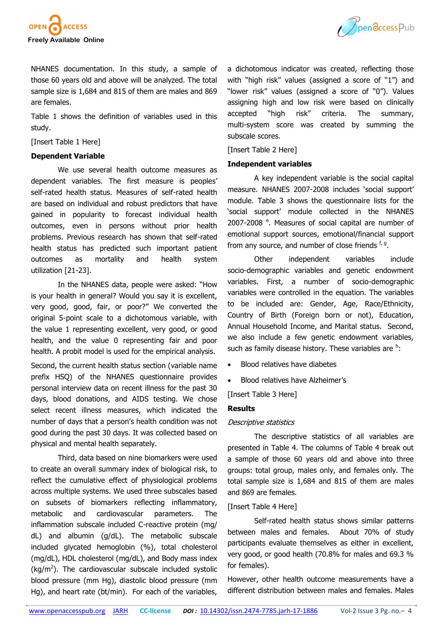



NHANES documentation. In this study, a sample of those 60 years old and above will be analyzed. The total sample size is 1,684 and 815 of them are males and 869 are females.

Table 1 shows the definition of variables used in this study.

[Insert Table 1 Here]

# **Dependent Variable**

We use several health outcome measures as dependent variables. The first measure is peoples' self-rated health status. Measures of self-rated health are based on individual and robust predictors that have gained in popularity to forecast individual health outcomes, even in persons without prior health problems. Previous research has shown that self-rated health status has predicted such important patient outcomes as mortality and health system utilization [21-23].

In the NHANES data, people were asked: "How is your health in general? Would you say it is excellent, very good, good, fair, or poor?" We converted the original 5-point scale to a dichotomous variable, with the value 1 representing excellent, very good, or good health, and the value 0 representing fair and poor health. A probit model is used for the empirical analysis.

Second, the current health status section (variable name prefix HSQ) of the NHANES questionnaire provides personal interview data on recent illness for the past 30 days, blood donations, and AIDS testing. We chose select recent illness measures, which indicated the number of days that a person's health condition was not good during the past 30 days. It was collected based on physical and mental health separately.

Third, data based on nine biomarkers were used to create an overall summary index of biological risk, to reflect the cumulative effect of physiological problems across multiple systems. We used three subscales based on subsets of biomarkers reflecting inflammatory, metabolic and cardiovascular parameters. The inflammation subscale included C-reactive protein (mg/ dL) and albumin (g/dL). The metabolic subscale included glycated hemoglobin (%), total cholesterol (mg/dL), HDL cholesterol (mg/dL), and Body mass index  $(kg/m<sup>2</sup>)$ . The cardiovascular subscale included systolic blood pressure (mm Hg), diastolic blood pressure (mm Hg), and heart rate (bt/min). For each of the variables,

a dichotomous indicator was created, reflecting those with "high risk" values (assigned a score of "1") and "lower risk" values (assigned a score of "0"). Values assigning high and low risk were based on clinically accepted "high risk" criteria. The summary, multi-system score was created by summing the subscale scores.

## [Insert Table 2 Here]

## **Independent variables**

A key independent variable is the social capital measure. NHANES 2007-2008 includes 'social support' module. Table 3 shows the questionnaire lists for the 'social support' module collected in the NHANES 2007-2008<sup>e</sup>. Measures of social capital are number of emotional support sources, emotional/financial support from any source, and number of close friends f, g.

Other independent variables include socio-demographic variables and genetic endowment variables. First, a number of socio-demographic variables were controlled in the equation. The variables to be included are: Gender, Age, Race/Ethnicity, Country of Birth (Foreign born or not), Education, Annual Household Income, and Marital status. Second, we also include a few genetic endowment variables, such as family disease history. These variables are <sup>h</sup>:

- Blood relatives have diabetes
- Blood relatives have Alzheimer's

[Insert Table 3 Here]

# **Results**

#### Descriptive statistics

The descriptive statistics of all variables are presented in Table 4. The columns of Table 4 break out a sample of those 60 years old and above into three groups: total group, males only, and females only. The total sample size is 1,684 and 815 of them are males and 869 are females.

#### [Insert Table 4 Here]

Self-rated health status shows similar patterns between males and females. About 70% of study participants evaluate themselves as either in excellent, very good, or good health (70.8% for males and 69.3 % for females).

However, other health outcome measurements have a different distribution between males and females. Males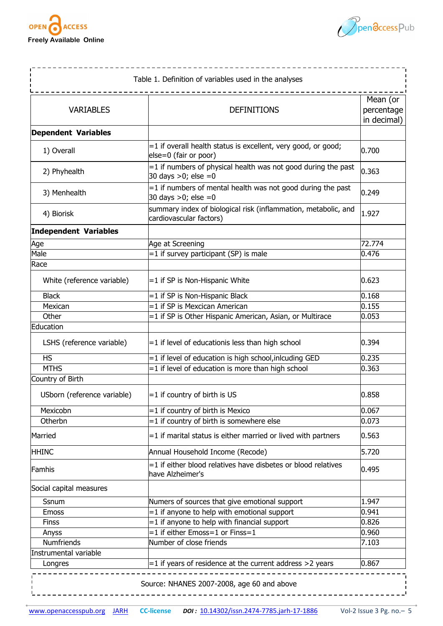



|                              | Table 1. Definition of variables used in the analyses                                     |                                       |
|------------------------------|-------------------------------------------------------------------------------------------|---------------------------------------|
| <b>VARIABLES</b>             | <b>DEFINITIONS</b>                                                                        | Mean (or<br>percentage<br>in decimal) |
| <b>Dependent Variables</b>   |                                                                                           |                                       |
| 1) Overall                   | =1 if overall health status is excellent, very good, or good;<br>else=0 (fair or poor)    | 0.700                                 |
| 2) Phyhealth                 | =1 if numbers of physical health was not good during the past<br>30 days > 0; else = 0    | 0.363                                 |
| 3) Menhealth                 | $=$ 1 if numbers of mental health was not good during the past<br>30 days $>0$ ; else =0  | 0.249                                 |
| 4) Biorisk                   | summary index of biological risk (inflammation, metabolic, and<br>cardiovascular factors) | 1.927                                 |
| <b>Independent Variables</b> |                                                                                           |                                       |
| Age                          | Age at Screening                                                                          | 72.774                                |
| Male                         | =1 if survey participant (SP) is male                                                     | 0.476                                 |
| Race                         |                                                                                           |                                       |
| White (reference variable)   | =1 if SP is Non-Hispanic White                                                            | 0.623                                 |
| <b>Black</b>                 | =1 if SP is Non-Hispanic Black                                                            | 0.168                                 |
| Mexican                      | =1 if SP is Mexcican American                                                             | 0.155                                 |
| Other                        | =1 if SP is Other Hispanic American, Asian, or Multirace                                  | 0.053                                 |
| Education                    |                                                                                           |                                       |
| LSHS (reference variable)    | =1 if level of educationis less than high school                                          | 0.394                                 |
| <b>HS</b>                    | =1 if level of education is high school, inlcuding GED                                    | 0.235                                 |
| <b>MTHS</b>                  | =1 if level of education is more than high school                                         | 0.363                                 |
| Country of Birth             |                                                                                           |                                       |
| USborn (reference variable)  | $=1$ if country of birth is US                                                            | 0.858                                 |
| Mexicobn                     | $=$ 1 if country of birth is Mexico                                                       | 0.067                                 |
| Otherbn                      | =1 if country of birth is somewhere else                                                  | 0.073                                 |
| Married                      | =1 if marital status is either married or lived with partners                             | 0.563                                 |
| <b>HHINC</b>                 | Annual Household Income (Recode)                                                          | 5.720                                 |
| Famhis                       | =1 if either blood relatives have disbetes or blood relatives<br>have Alzheimer's         | 0.495                                 |
| Social capital measures      |                                                                                           |                                       |
| Ssnum                        | Numers of sources that give emotional support                                             | 1.947                                 |
| Emoss                        | =1 if anyone to help with emotional support                                               | 0.941                                 |
| <b>Finss</b>                 | =1 if anyone to help with financial support                                               | 0.826                                 |
| Anyss                        | =1 if either Emoss=1 or Finss=1                                                           | 0.960                                 |
| <b>Numfriends</b>            | Number of close friends                                                                   | 7.103                                 |
| Instrumental variable        |                                                                                           |                                       |
| Longres                      | $=$ 1 if years of residence at the current address > 2 years                              | 0.867                                 |
|                              | Source: NHANES 2007-2008, age 60 and above                                                |                                       |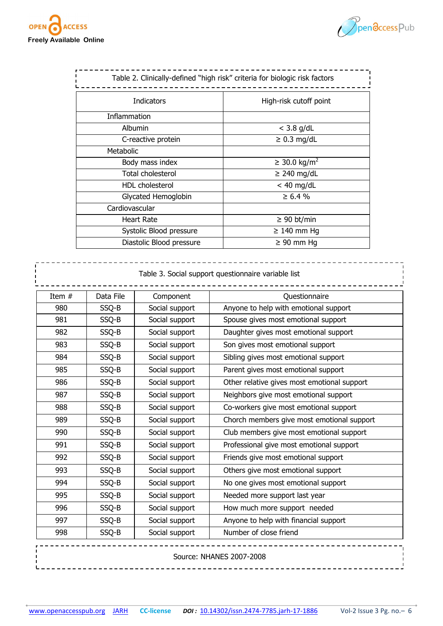



| Table 2. Clinically-defined "high risk" criteria for biologic risk factors |                          |
|----------------------------------------------------------------------------|--------------------------|
| <b>Indicators</b>                                                          | High-risk cutoff point   |
| Inflammation                                                               |                          |
| Albumin                                                                    | $<$ 3.8 g/dL             |
| C-reactive protein                                                         | $\geq 0.3$ mg/dL         |
| Metabolic                                                                  |                          |
| Body mass index                                                            | ≥ 30.0 kg/m <sup>2</sup> |
| Total cholesterol                                                          | $\geq$ 240 mg/dL         |
| HDL cholesterol                                                            | $<$ 40 mg/dL             |
| Glycated Hemoglobin                                                        | $\geq 6.4 \%$            |
| Cardiovascular                                                             |                          |
| <b>Heart Rate</b>                                                          | $\geq 90$ bt/min         |
| Systolic Blood pressure                                                    | $\geq$ 140 mm Hg         |
| Diastolic Blood pressure                                                   | $\geq 90$ mm Hg          |

|          |           |                | Table 3. Social support questionnaire variable list |
|----------|-----------|----------------|-----------------------------------------------------|
| Item $#$ | Data File | Component      | Questionnaire                                       |
| 980      | SSQ-B     | Social support | Anyone to help with emotional support               |
| 981      | SSQ-B     | Social support | Spouse gives most emotional support                 |
| 982      | SSQ-B     | Social support | Daughter gives most emotional support               |
| 983      | SSQ-B     | Social support | Son gives most emotional support                    |
| 984      | SSQ-B     | Social support | Sibling gives most emotional support                |
| 985      | SSQ-B     | Social support | Parent gives most emotional support                 |
| 986      | SSQ-B     | Social support | Other relative gives most emotional support         |
| 987      | SSQ-B     | Social support | Neighbors give most emotional support               |
| 988      | SSQ-B     | Social support | Co-workers give most emotional support              |
| 989      | SSQ-B     | Social support | Chorch members give most emotional support          |
| 990      | SSQ-B     | Social support | Club members give most emotional support            |
| 991      | SSQ-B     | Social support | Professional give most emotional support            |
| 992      | SSQ-B     | Social support | Friends give most emotional support                 |
| 993      | SSQ-B     | Social support | Others give most emotional support                  |
| 994      | SSQ-B     | Social support | No one gives most emotional support                 |
| 995      | SSQ-B     | Social support | Needed more support last year                       |
| 996      | SSQ-B     | Social support | How much more support needed                        |
| 997      | SSQ-B     | Social support | Anyone to help with financial support               |
| 998      | SSQ-B     | Social support | Number of close friend                              |

Source: NHANES 2007-2008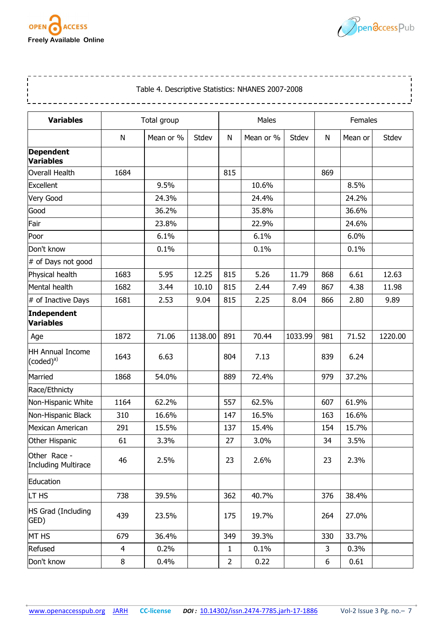

 $- - - - - - -$ 



--------

<u> - - - - - - - - - -</u>

# Table 4. Descriptive Statistics: NHANES 2007-2008

\_\_\_\_\_\_\_\_\_\_\_\_\_\_\_\_\_\_\_\_\_

----------------------------------

| <b>Variables</b>                           |                | Total group |         |                | Males     |         |     | Females |         |  |  |
|--------------------------------------------|----------------|-------------|---------|----------------|-----------|---------|-----|---------|---------|--|--|
|                                            | N              | Mean or %   | Stdev   | N              | Mean or % | Stdev   | N   | Mean or | Stdev   |  |  |
| <b>Dependent</b><br>Variables              |                |             |         |                |           |         |     |         |         |  |  |
| Overall Health                             | 1684           |             |         | 815            |           |         | 869 |         |         |  |  |
| Excellent                                  |                | 9.5%        |         |                | 10.6%     |         |     | 8.5%    |         |  |  |
| Very Good                                  |                | 24.3%       |         |                | 24.4%     |         |     | 24.2%   |         |  |  |
| Good                                       |                | 36.2%       |         |                | 35.8%     |         |     | 36.6%   |         |  |  |
| Fair                                       |                | 23.8%       |         |                | 22.9%     |         |     | 24.6%   |         |  |  |
| Poor                                       |                | 6.1%        |         |                | 6.1%      |         |     | 6.0%    |         |  |  |
| Don't know                                 |                | 0.1%        |         |                | 0.1%      |         |     | 0.1%    |         |  |  |
| # of Days not good                         |                |             |         |                |           |         |     |         |         |  |  |
| Physical health                            | 1683           | 5.95        | 12.25   | 815            | 5.26      | 11.79   | 868 | 6.61    | 12.63   |  |  |
| Mental health                              | 1682           | 3.44        | 10.10   | 815            | 2.44      | 7.49    | 867 | 4.38    | 11.98   |  |  |
| # of Inactive Days                         | 1681           | 2.53        | 9.04    | 815            | 2.25      | 8.04    | 866 | 2.80    | 9.89    |  |  |
| Independent<br>Variables                   |                |             |         |                |           |         |     |         |         |  |  |
| Age                                        | 1872           | 71.06       | 1138.00 | 891            | 70.44     | 1033.99 | 981 | 71.52   | 1220.00 |  |  |
| HH Annual Income<br>$(coded)^a$            | 1643           | 6.63        |         | 804            | 7.13      |         | 839 | 6.24    |         |  |  |
| Married                                    | 1868           | 54.0%       |         | 889            | 72.4%     |         | 979 | 37.2%   |         |  |  |
| Race/Ethnicty                              |                |             |         |                |           |         |     |         |         |  |  |
| Non-Hispanic White                         | 1164           | 62.2%       |         | 557            | 62.5%     |         | 607 | 61.9%   |         |  |  |
| Non-Hispanic Black                         | 310            | 16.6%       |         | 147            | 16.5%     |         | 163 | 16.6%   |         |  |  |
| Mexican American                           | 291            | 15.5%       |         | 137            | 15.4%     |         | 154 | 15.7%   |         |  |  |
| Other Hispanic                             | 61             | 3.3%        |         | 27             | 3.0%      |         | 34  | 3.5%    |         |  |  |
| Other Race -<br><b>Including Multirace</b> | 46             | 2.5%        |         | 23             | 2.6%      |         | 23  | 2.3%    |         |  |  |
| Education                                  |                |             |         |                |           |         |     |         |         |  |  |
| LT HS                                      | 738            | 39.5%       |         | 362            | 40.7%     |         | 376 | 38.4%   |         |  |  |
| HS Grad (Including<br>GED)                 | 439            | 23.5%       |         | 175            | 19.7%     |         | 264 | 27.0%   |         |  |  |
| MT HS                                      | 679            | 36.4%       |         | 349            | 39.3%     |         | 330 | 33.7%   |         |  |  |
| Refused                                    | $\overline{4}$ | 0.2%        |         | $\mathbf{1}$   | 0.1%      |         | 3   | 0.3%    |         |  |  |
| Don't know                                 | 8              | 0.4%        |         | $\overline{2}$ | 0.22      |         | 6   | 0.61    |         |  |  |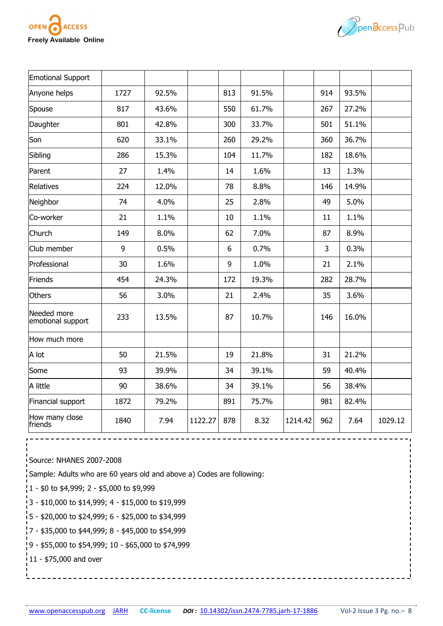



| Emotional Support                |      |       |         |     |       |         |     |       |         |
|----------------------------------|------|-------|---------|-----|-------|---------|-----|-------|---------|
| Anyone helps                     | 1727 | 92.5% |         | 813 | 91.5% |         | 914 | 93.5% |         |
| Spouse                           | 817  | 43.6% |         | 550 | 61.7% |         | 267 | 27.2% |         |
| Daughter                         | 801  | 42.8% |         | 300 | 33.7% |         | 501 | 51.1% |         |
| Son                              | 620  | 33.1% |         | 260 | 29.2% |         | 360 | 36.7% |         |
| Sibling                          | 286  | 15.3% |         | 104 | 11.7% |         | 182 | 18.6% |         |
| Parent                           | 27   | 1.4%  |         | 14  | 1.6%  |         | 13  | 1.3%  |         |
| Relatives                        | 224  | 12.0% |         | 78  | 8.8%  |         | 146 | 14.9% |         |
| Neighbor                         | 74   | 4.0%  |         | 25  | 2.8%  |         | 49  | 5.0%  |         |
| Co-worker                        | 21   | 1.1%  |         | 10  | 1.1%  |         | 11  | 1.1%  |         |
| Church                           | 149  | 8.0%  |         | 62  | 7.0%  |         | 87  | 8.9%  |         |
| Club member                      | 9    | 0.5%  |         | 6   | 0.7%  |         | 3   | 0.3%  |         |
| Professional                     | 30   | 1.6%  |         | 9   | 1.0%  |         | 21  | 2.1%  |         |
| Friends                          | 454  | 24.3% |         | 172 | 19.3% |         | 282 | 28.7% |         |
| <b>Others</b>                    | 56   | 3.0%  |         | 21  | 2.4%  |         | 35  | 3.6%  |         |
| Needed more<br>emotional support | 233  | 13.5% |         | 87  | 10.7% |         | 146 | 16.0% |         |
| How much more                    |      |       |         |     |       |         |     |       |         |
| A lot                            | 50   | 21.5% |         | 19  | 21.8% |         | 31  | 21.2% |         |
| Some                             | 93   | 39.9% |         | 34  | 39.1% |         | 59  | 40.4% |         |
| A little                         | 90   | 38.6% |         | 34  | 39.1% |         | 56  | 38.4% |         |
| Financial support                | 1872 | 79.2% |         | 891 | 75.7% |         | 981 | 82.4% |         |
| How many close<br>friends        | 1840 | 7.94  | 1122.27 | 878 | 8.32  | 1214.42 | 962 | 7.64  | 1029.12 |

Source: NHANES 2007-2008

Sample: Adults who are 60 years old and above a) Codes are following:

- $\frac{1}{1}$  1 \$0 to \$4,999; 2 \$5,000 to \$9,999
- 3 \$10,000 to \$14,999; 4 \$15,000 to \$19,999
- 5 \$20,000 to \$24,999; 6 \$25,000 to \$34,999
- 7 \$35,000 to \$44,999; 8 \$45,000 to \$54,999
- 9 \$55,000 to \$54,999; 10 \$65,000 to \$74,999
- 11 \$75,000 and over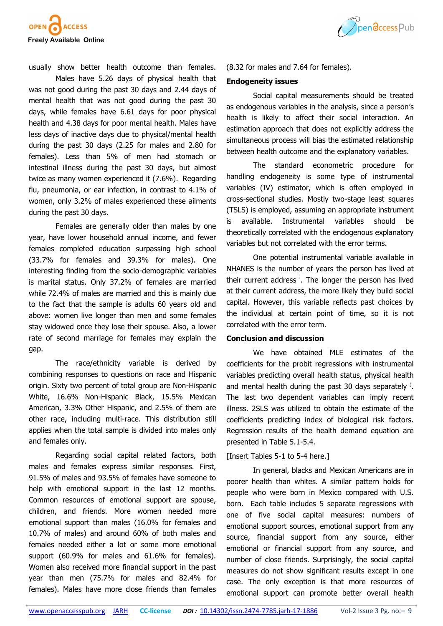



usually show better health outcome than females.

Males have 5.26 days of physical health that was not good during the past 30 days and 2.44 days of mental health that was not good during the past 30 days, while females have 6.61 days for poor physical health and 4.38 days for poor mental health. Males have less days of inactive days due to physical/mental health during the past 30 days (2.25 for males and 2.80 for females). Less than 5% of men had stomach or intestinal illness during the past 30 days, but almost twice as many women experienced it (7.6%). Regarding flu, pneumonia, or ear infection, in contrast to 4.1% of women, only 3.2% of males experienced these ailments during the past 30 days.

Females are generally older than males by one year, have lower household annual income, and fewer females completed education surpassing high school (33.7% for females and 39.3% for males). One interesting finding from the socio-demographic variables is marital status. Only 37.2% of females are married while 72.4% of males are married and this is mainly due to the fact that the sample is adults 60 years old and above: women live longer than men and some females stay widowed once they lose their spouse. Also, a lower rate of second marriage for females may explain the gap.

The race/ethnicity variable is derived by combining responses to questions on race and Hispanic origin. Sixty two percent of total group are Non-Hispanic White, 16.6% Non-Hispanic Black, 15.5% Mexican American, 3.3% Other Hispanic, and 2.5% of them are other race, including multi-race. This distribution still applies when the total sample is divided into males only and females only.

Regarding social capital related factors, both males and females express similar responses. First, 91.5% of males and 93.5% of females have someone to help with emotional support in the last 12 months. Common resources of emotional support are spouse, children, and friends. More women needed more emotional support than males (16.0% for females and 10.7% of males) and around 60% of both males and females needed either a lot or some more emotional support (60.9% for males and 61.6% for females). Women also received more financial support in the past year than men (75.7% for males and 82.4% for females). Males have more close friends than females

(8.32 for males and 7.64 for females).

#### **Endogeneity issues**

Social capital measurements should be treated as endogenous variables in the analysis, since a person's health is likely to affect their social interaction. An estimation approach that does not explicitly address the simultaneous process will bias the estimated relationship between health outcome and the explanatory variables.

The standard econometric procedure for handling endogeneity is some type of instrumental variables (IV) estimator, which is often employed in cross-sectional studies. Mostly two-stage least squares (TSLS) is employed, assuming an appropriate instrument is available. Instrumental variables should be theoretically correlated with the endogenous explanatory variables but not correlated with the error terms.

One potential instrumental variable available in NHANES is the number of years the person has lived at their current address<sup>i</sup>. The longer the person has lived at their current address, the more likely they build social capital. However, this variable reflects past choices by the individual at certain point of time, so it is not correlated with the error term.

# **Conclusion and discussion**

We have obtained MLE estimates of the coefficients for the probit regressions with instrumental variables predicting overall health status, physical health and mental health during the past 30 days separately  $^j$ . The last two dependent variables can imply recent illness. 2SLS was utilized to obtain the estimate of the coefficients predicting index of biological risk factors. Regression results of the health demand equation are presented in Table 5.1-5.4.

#### [Insert Tables 5-1 to 5-4 here.]

In general, blacks and Mexican Americans are in poorer health than whites. A similar pattern holds for people who were born in Mexico compared with U.S. born. Each table includes 5 separate regressions with one of five social capital measures: numbers of emotional support sources, emotional support from any source, financial support from any source, either emotional or financial support from any source, and number of close friends. Surprisingly, the social capital measures do not show significant results except in one case. The only exception is that more resources of emotional support can promote better overall health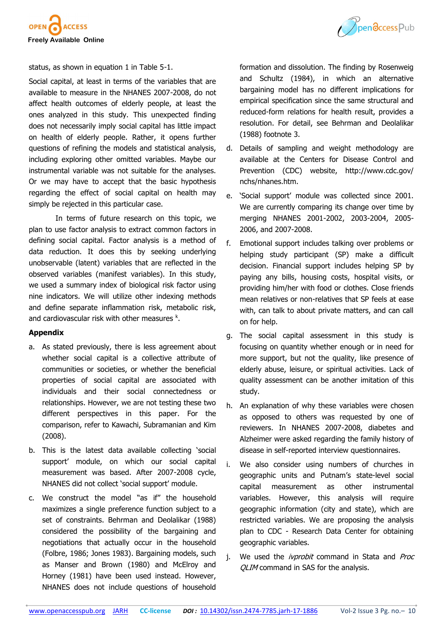



status, as shown in equation 1 in Table 5-1.

Social capital, at least in terms of the variables that are available to measure in the NHANES 2007-2008, do not affect health outcomes of elderly people, at least the ones analyzed in this study. This unexpected finding does not necessarily imply social capital has little impact on health of elderly people. Rather, it opens further questions of refining the models and statistical analysis, including exploring other omitted variables. Maybe our instrumental variable was not suitable for the analyses. Or we may have to accept that the basic hypothesis regarding the effect of social capital on health may simply be rejected in this particular case.

In terms of future research on this topic, we plan to use factor analysis to extract common factors in defining social capital. Factor analysis is a method of data reduction. It does this by seeking underlying unobservable (latent) variables that are reflected in the observed variables (manifest variables). In this study, we used a summary index of biological risk factor using nine indicators. We will utilize other indexing methods and define separate inflammation risk, metabolic risk, and cardiovascular risk with other measures  $k$ .

# **Appendix**

- a. As stated previously, there is less agreement about whether social capital is a collective attribute of communities or societies, or whether the beneficial properties of social capital are associated with individuals and their social connectedness or relationships. However, we are not testing these two different perspectives in this paper. For the comparison, refer to Kawachi, Subramanian and Kim (2008).
- b. This is the latest data available collecting 'social support' module, on which our social capital measurement was based. After 2007-2008 cycle, NHANES did not collect 'social support' module.
- c. We construct the model "as if" the household maximizes a single preference function subject to a set of constraints. Behrman and Deolalikar (1988) considered the possibility of the bargaining and negotiations that actually occur in the household (Folbre, 1986; Jones 1983). Bargaining models, such as Manser and Brown (1980) and McElroy and Horney (1981) have been used instead. However, NHANES does not include questions of household

formation and dissolution. The finding by Rosenweig and Schultz (1984), in which an alternative bargaining model has no different implications for empirical specification since the same structural and reduced-form relations for health result, provides a resolution. For detail, see Behrman and Deolalikar (1988) footnote 3.

- d. Details of sampling and weight methodology are available at the Centers for Disease Control and Prevention (CDC) website, http://www.cdc.gov/ nchs/nhanes.htm.
- e. 'Social support' module was collected since 2001. We are currently comparing its change over time by merging NHANES 2001-2002, 2003-2004, 2005- 2006, and 2007-2008.
- f. Emotional support includes talking over problems or helping study participant (SP) make a difficult decision. Financial support includes helping SP by paying any bills, housing costs, hospital visits, or providing him/her with food or clothes. Close friends mean relatives or non-relatives that SP feels at ease with, can talk to about private matters, and can call on for help.
- g. The social capital assessment in this study is focusing on quantity whether enough or in need for more support, but not the quality, like presence of elderly abuse, leisure, or spiritual activities. Lack of quality assessment can be another imitation of this study.
- h. An explanation of why these variables were chosen as opposed to others was requested by one of reviewers. In NHANES 2007-2008, diabetes and Alzheimer were asked regarding the family history of disease in self-reported interview questionnaires.
- i. We also consider using numbers of churches in geographic units and Putnam's state-level social capital measurement as other instrumental variables. However, this analysis will require geographic information (city and state), which are restricted variables. We are proposing the analysis plan to CDC - Research Data Center for obtaining geographic variables.
- j. We used the *ivprobit* command in Stata and Proc OLIM command in SAS for the analysis.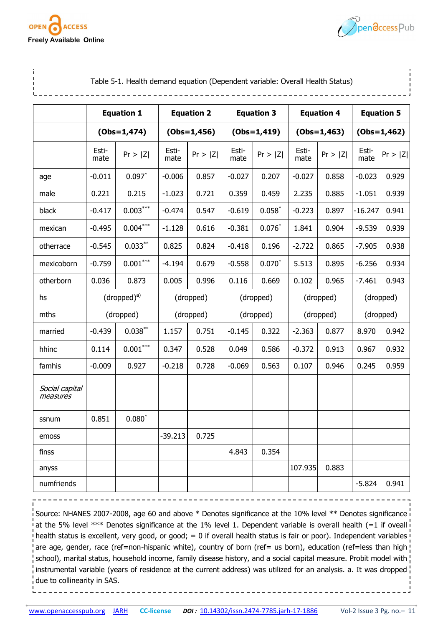



| Table 5-1. Health demand equation (Dependent variable: Overall Health Status) |               |                   |               |                   |               |                   |               |                   |                   |           |
|-------------------------------------------------------------------------------|---------------|-------------------|---------------|-------------------|---------------|-------------------|---------------|-------------------|-------------------|-----------|
|                                                                               |               | <b>Equation 1</b> |               | <b>Equation 2</b> |               | <b>Equation 3</b> |               | <b>Equation 4</b> | <b>Equation 5</b> |           |
|                                                                               |               | $(Obs=1,474)$     | $(Obs=1,456)$ |                   |               | $(Obs=1,419)$     |               | $(Obs=1,463)$     | $(Obs=1,462)$     |           |
|                                                                               | Esti-<br>mate | Pr >  Z           | Esti-<br>mate | Pr >  Z           | Esti-<br>mate | Pr >  Z           | Esti-<br>mate | Pr >  Z           | Esti-<br>mate     | Pr >  Z   |
| age                                                                           | $-0.011$      | $0.097*$          | $-0.006$      | 0.857             | $-0.027$      | 0.207             | $-0.027$      | 0.858             | $-0.023$          | 0.929     |
| male                                                                          | 0.221         | 0.215             | $-1.023$      | 0.721             | 0.359         | 0.459             | 2.235         | 0.885             | $-1.051$          | 0.939     |
| black                                                                         | $-0.417$      | $0.003***$        | $-0.474$      | 0.547             | $-0.619$      | $0.058*$          | $-0.223$      | 0.897             | $-16.247$         | 0.941     |
| mexican                                                                       | $-0.495$      | $0.004***$        | $-1.128$      | 0.616             | $-0.381$      | $0.076*$          | 1.841         | 0.904             | $-9.539$          | 0.939     |
| otherrace                                                                     | $-0.545$      | $0.033***$        | 0.825         | 0.824             | $-0.418$      | 0.196             | $-2.722$      | 0.865             | $-7.905$          | 0.938     |
| mexicoborn                                                                    | $-0.759$      | $0.001***$        | $-4.194$      | 0.679             | $-0.558$      | $0.070*$          | 5.513         | 0.895             | $-6.256$          | 0.934     |
| otherborn                                                                     | 0.036         | 0.873             | 0.005         | 0.996             | 0.116         | 0.669             | 0.102         | 0.965             | $-7.461$          | 0.943     |
| hs                                                                            |               | $(dropped)^a$     |               | (dropped)         |               | (dropped)         |               | (dropped)         |                   | (dropped) |
| mths                                                                          |               | (dropped)         | (dropped)     |                   | (dropped)     |                   |               | (dropped)         | (dropped)         |           |
| married                                                                       | $-0.439$      | $0.038***$        | 1.157         | 0.751             | $-0.145$      | 0.322             | $-2.363$      | 0.877             | 8.970             | 0.942     |
| hhinc                                                                         | 0.114         | $0.001\sp{***}$   | 0.347         | 0.528             | 0.049         | 0.586             | $-0.372$      | 0.913             | 0.967             | 0.932     |
| famhis                                                                        | $-0.009$      | 0.927             | $-0.218$      | 0.728             | $-0.069$      | 0.563             | 0.107         | 0.946             | 0.245             | 0.959     |
| Social capital<br>measures                                                    |               |                   |               |                   |               |                   |               |                   |                   |           |
| ssnum                                                                         | 0.851         | $0.080*$          |               |                   |               |                   |               |                   |                   |           |
| emoss                                                                         |               |                   | $-39.213$     | 0.725             |               |                   |               |                   |                   |           |
| finss                                                                         |               |                   |               |                   | 4.843         | 0.354             |               |                   |                   |           |
| anyss                                                                         |               |                   |               |                   |               |                   | 107.935       | 0.883             |                   |           |
| numfriends                                                                    |               |                   |               |                   |               |                   |               |                   | $-5.824$          | 0.941     |

Source: NHANES 2007-2008, age 60 and above \* Denotes significance at the 10% level \*\* Denotes significance i at the 5% level \*\*\* Denotes significance at the 1% level 1. Dependent variable is overall health (=1 if oveall health status is excellent, very good, or good;  $= 0$  if overall health status is fair or poor). Independent variables are age, gender, race (ref=non-hispanic white), country of born (ref= us born), education (ref=less than high school), marital status, household income, family disease history, and a social capital measure. Probit model with instrumental variable (years of residence at the current address) was utilized for an analysis. a. It was dropped due to collinearity in SAS.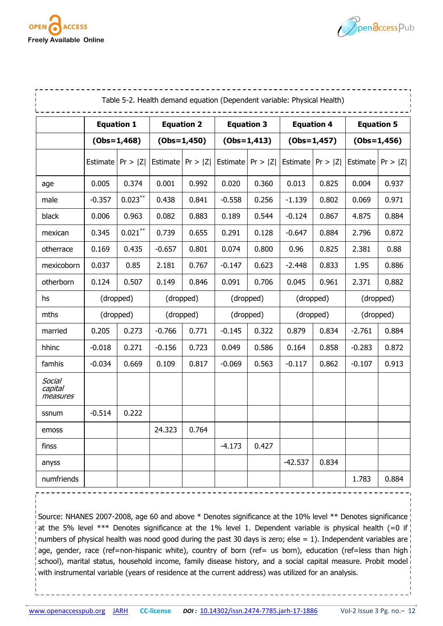



| Table 5-2. Health demand equation (Dependent variable: Physical Health) |                                        |                     |                   |         |               |         |                   |                   |               |         |
|-------------------------------------------------------------------------|----------------------------------------|---------------------|-------------------|---------|---------------|---------|-------------------|-------------------|---------------|---------|
|                                                                         | <b>Equation 1</b><br><b>Equation 2</b> |                     | <b>Equation 3</b> |         |               |         | <b>Equation 4</b> | <b>Equation 5</b> |               |         |
|                                                                         | $(Obs=1,468)$                          |                     | $(Obs=1,450)$     |         | $(Obs=1,413)$ |         |                   | $(Obs=1,457)$     | $(Obs=1,456)$ |         |
|                                                                         | Estimate                               | Pr >  Z             | Estimate          | Pr >  Z | Estimate      | Pr >  Z | Estimate          | Pr >  Z           | Estimate      | Pr >  Z |
| age                                                                     | 0.005                                  | 0.374               | 0.001             | 0.992   | 0.020         | 0.360   | 0.013             | 0.825             | 0.004         | 0.937   |
| male                                                                    | $-0.357$                               | $0.023^\ast{}^\ast$ | 0.438             | 0.841   | $-0.558$      | 0.256   | $-1.139$          | 0.802             | 0.069         | 0.971   |
| black                                                                   | 0.006                                  | 0.963               | 0.082             | 0.883   | 0.189         | 0.544   | $-0.124$          | 0.867             | 4.875         | 0.884   |
| mexican                                                                 | 0.345                                  | $0.021^{\ast\ast}$  | 0.739             | 0.655   | 0.291         | 0.128   | $-0.647$          | 0.884             | 2.796         | 0.872   |
| otherrace                                                               | 0.169                                  | 0.435               | 0.801<br>$-0.657$ |         | 0.074         | 0.800   | 0.96              | 0.825             | 2.381         | 0.88    |
| mexicoborn                                                              | 0.037                                  | 0.85                | 2.181             | 0.767   | $-0.147$      | 0.623   | $-2.448$          | 0.833             | 1.95          | 0.886   |
| otherborn                                                               | 0.124                                  | 0.507               | 0.149             | 0.846   | 0.091         | 0.706   | 0.045             | 0.961             | 2.371         | 0.882   |
| hs                                                                      | (dropped)                              |                     | (dropped)         |         | (dropped)     |         |                   | (dropped)         | (dropped)     |         |
| mths                                                                    | (dropped)                              |                     | (dropped)         |         | (dropped)     |         | (dropped)         |                   | (dropped)     |         |
| married                                                                 | 0.205                                  | 0.273               | $-0.766$          | 0.771   | $-0.145$      | 0.322   | 0.879             | 0.834             | $-2.761$      | 0.884   |
| hhinc                                                                   | $-0.018$                               | 0.271               | $-0.156$          | 0.723   | 0.049         | 0.586   | 0.164             | 0.858             | $-0.283$      | 0.872   |
| famhis                                                                  | $-0.034$                               | 0.669               | 0.109             | 0.817   | $-0.069$      | 0.563   | $-0.117$          | 0.862             | $-0.107$      | 0.913   |
| Social<br>capital<br>measures                                           |                                        |                     |                   |         |               |         |                   |                   |               |         |
| ssnum                                                                   | $-0.514$                               | 0.222               |                   |         |               |         |                   |                   |               |         |
| emoss                                                                   |                                        |                     | 24.323            | 0.764   |               |         |                   |                   |               |         |
| finss                                                                   |                                        |                     |                   |         | $-4.173$      | 0.427   |                   |                   |               |         |
| anyss                                                                   |                                        |                     |                   |         |               |         | $-42.537$         | 0.834             |               |         |
| numfriends                                                              |                                        |                     |                   |         |               |         |                   |                   | 1.783         | 0.884   |

Source: NHANES 2007-2008, age 60 and above \* Denotes significance at the 10% level \*\* Denotes significance > at the 5% level \*\*\* Denotes significance at the 1% level 1. Dependent variable is physical health (=0 if I numbers of physical health was nood good during the past 30 days is zero; else = 1). Independent variables are  $\vert$ age, gender, race (ref=non-hispanic white), country of born (ref= us born), education (ref=less than high school), marital status, household income, family disease history, and a social capital measure. Probit model with instrumental variable (years of residence at the current address) was utilized for an analysis.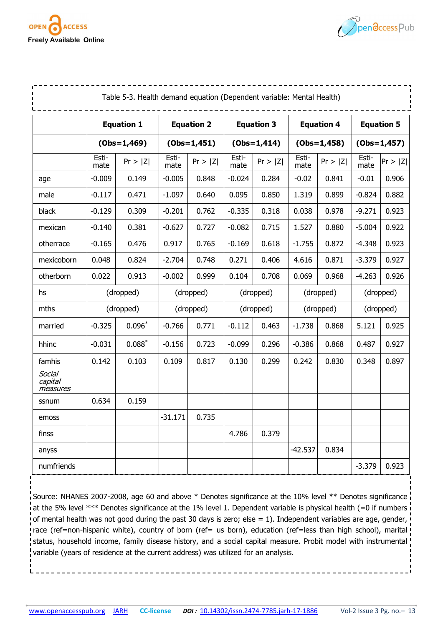



|                               | Table 5-3. Health demand equation (Dependent variable: Mental Health) |                   |               |                   |               |                   |               |                   |                   |         |  |
|-------------------------------|-----------------------------------------------------------------------|-------------------|---------------|-------------------|---------------|-------------------|---------------|-------------------|-------------------|---------|--|
|                               |                                                                       | <b>Equation 1</b> |               | <b>Equation 2</b> |               | <b>Equation 3</b> |               | <b>Equation 4</b> | <b>Equation 5</b> |         |  |
|                               | $(Obs=1,469)$                                                         |                   | $(Obs=1,451)$ |                   |               | $(Obs=1,414)$     |               | $(Obs=1,458)$     | $(Obs=1,457)$     |         |  |
|                               | Esti-<br>mate                                                         | Pr >  Z           | Esti-<br>mate | Pr >  Z           | Esti-<br>mate | Pr >  Z           | Esti-<br>mate | Pr >  Z           | Esti-<br>mate     | Pr >  Z |  |
| age                           | $-0.009$                                                              | 0.149             | $-0.005$      | 0.848             | $-0.024$      | 0.284             | $-0.02$       | 0.841             | $-0.01$           | 0.906   |  |
| male                          | $-0.117$                                                              | 0.471             | $-1.097$      | 0.640             | 0.095         | 0.850             | 1.319         | 0.899             | $-0.824$          | 0.882   |  |
| black                         | $-0.129$                                                              | 0.309             | $-0.201$      | 0.762             | $-0.335$      | 0.318             | 0.038         | 0.978             | $-9.271$          | 0.923   |  |
| mexican                       | $-0.140$                                                              | 0.381             | $-0.627$      | 0.727             | $-0.082$      | 0.715             | 1.527         | 0.880             | $-5.004$          | 0.922   |  |
| otherrace                     | $-0.165$                                                              | 0.476             | 0.917         | 0.765             | $-0.169$      | 0.618             | $-1.755$      | 0.872             | $-4.348$          | 0.923   |  |
| mexicoborn                    | 0.048                                                                 | 0.824             | $-2.704$      | 0.748             | 0.271         | 0.406             | 4.616         | 0.871             | $-3.379$          | 0.927   |  |
| otherborn                     | 0.022                                                                 | 0.913             | $-0.002$      | 0.999             | 0.104         | 0.708             | 0.069         | 0.968             | $-4.263$          | 0.926   |  |
| hs                            |                                                                       | (dropped)         |               | (dropped)         | (dropped)     |                   | (dropped)     |                   | (dropped)         |         |  |
| mths                          |                                                                       | (dropped)         |               | (dropped)         | (dropped)     |                   | (dropped)     |                   | (dropped)         |         |  |
| married                       | $-0.325$                                                              | $0.096*$          | $-0.766$      | 0.771             | $-0.112$      | 0.463             | $-1.738$      | 0.868             | 5.121             | 0.925   |  |
| hhinc                         | $-0.031$                                                              | $0.088*$          | $-0.156$      | 0.723             | $-0.099$      | 0.296             | $-0.386$      | 0.868             | 0.487             | 0.927   |  |
| famhis                        | 0.142                                                                 | 0.103             | 0.109         | 0.817             | 0.130         | 0.299             | 0.242         | 0.830             | 0.348             | 0.897   |  |
| Social<br>capital<br>measures |                                                                       |                   |               |                   |               |                   |               |                   |                   |         |  |
| ssnum                         | 0.634                                                                 | 0.159             |               |                   |               |                   |               |                   |                   |         |  |
| emoss                         |                                                                       |                   | $-31.171$     | 0.735             |               |                   |               |                   |                   |         |  |
| finss                         |                                                                       |                   |               |                   | 4.786         | 0.379             |               |                   |                   |         |  |
| anyss                         |                                                                       |                   |               |                   |               |                   | $-42.537$     | 0.834             |                   |         |  |
| numfriends                    |                                                                       |                   |               |                   |               |                   |               |                   | $-3.379$          | 0.923   |  |

Source: NHANES 2007-2008, age 60 and above \* Denotes significance at the 10% level \*\* Denotes significance at the 5% level \*\*\* Denotes significance at the 1% level 1. Dependent variable is physical health (=0 if numbers of mental health was not good during the past 30 days is zero; else = 1). Independent variables are age, gender, race (ref=non-hispanic white), country of born (ref= us born), education (ref=less than high school), marital status, household income, family disease history, and a social capital measure. Probit model with instrumental variable (years of residence at the current address) was utilized for an analysis.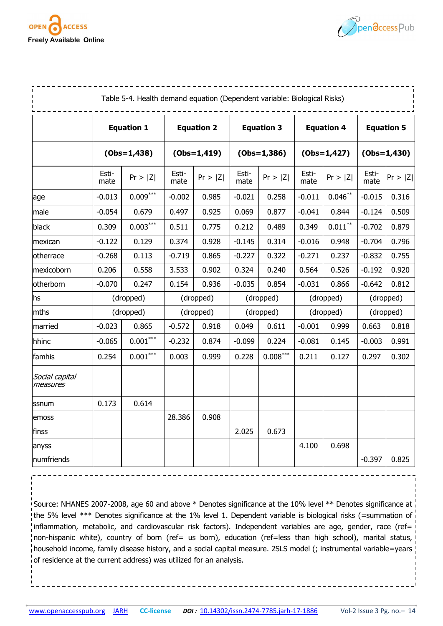



|                            |               | Table 5-4. Health demand equation (Dependent variable: Biological Risks) |               |                   |               |                   |               |                   |                   |         |
|----------------------------|---------------|--------------------------------------------------------------------------|---------------|-------------------|---------------|-------------------|---------------|-------------------|-------------------|---------|
|                            |               | <b>Equation 1</b>                                                        |               | <b>Equation 2</b> |               | <b>Equation 3</b> |               | <b>Equation 4</b> | <b>Equation 5</b> |         |
|                            |               | $(Obs=1,438)$                                                            |               | $(Obs=1,419)$     |               | $(Obs=1,386)$     |               | $(Obs=1,427)$     | $(Obs=1,430)$     |         |
|                            | Esti-<br>mate | Pr >  Z                                                                  | Esti-<br>mate | Pr >  Z           | Esti-<br>mate | Pr >  Z           | Esti-<br>mate | Pr >  Z           | Esti-<br>mate     | Pr >  Z |
| age                        | $-0.013$      | $0.009***$                                                               | $-0.002$      | 0.985             | $-0.021$      | 0.258             | $-0.011$      | $0.046***$        | $-0.015$          | 0.316   |
| male                       | $-0.054$      | 0.679                                                                    | 0.497         | 0.925             | 0.069         | 0.877             | $-0.041$      | 0.844             | $-0.124$          | 0.509   |
| black                      | 0.309         | $0.003***$                                                               | 0.511         | 0.775             | 0.212         | 0.489             | 0.349         | $0.011***$        | $-0.702$          | 0.879   |
| mexican                    | $-0.122$      | 0.129                                                                    | 0.374         | 0.928             | $-0.145$      | 0.314             | $-0.016$      | 0.948             | $-0.704$          | 0.796   |
| otherrace                  | $-0.268$      | 0.113                                                                    | $-0.719$      | 0.865             | $-0.227$      | 0.322             | $-0.271$      | 0.237             | $-0.832$          | 0.755   |
| mexicoborn                 | 0.206         | 0.558                                                                    | 3.533         | 0.902             | 0.324         | 0.240             | 0.564         | 0.526             | $-0.192$          | 0.920   |
| otherborn                  | $-0.070$      | 0.247                                                                    | 0.154         | 0.936             | $-0.035$      | 0.854             | $-0.031$      | 0.866             | $-0.642$          | 0.812   |
| hs                         |               | (dropped)                                                                | (dropped)     |                   | (dropped)     |                   | (dropped)     |                   | (dropped)         |         |
| mths                       |               | (dropped)                                                                |               | (dropped)         | (dropped)     |                   | (dropped)     |                   | (dropped)         |         |
| married                    | $-0.023$      | 0.865                                                                    | $-0.572$      | 0.918             | 0.049         | 0.611             | $-0.001$      | 0.999             | 0.663             | 0.818   |
| hhinc                      | $-0.065$      | $0.001\sp{***}$                                                          | $-0.232$      | 0.874             | $-0.099$      | 0.224             | $-0.081$      | 0.145             | $-0.003$          | 0.991   |
| famhis                     | 0.254         | $0.001***$                                                               | 0.003         | 0.999             | 0.228         | $0.008***$        | 0.211         | 0.127             | 0.297             | 0.302   |
| Social capital<br>measures |               |                                                                          |               |                   |               |                   |               |                   |                   |         |
| ssnum                      | 0.173         | 0.614                                                                    |               |                   |               |                   |               |                   |                   |         |
| emoss                      |               |                                                                          | 28.386        | 0.908             |               |                   |               |                   |                   |         |
| finss                      |               |                                                                          |               |                   | 2.025         | 0.673             |               |                   |                   |         |
| anyss                      |               |                                                                          |               |                   |               |                   | 4.100         | 0.698             |                   |         |
| numfriends                 |               |                                                                          |               |                   |               |                   |               |                   | $-0.397$          | 0.825   |

Source: NHANES 2007-2008, age 60 and above \* Denotes significance at the 10% level \*\* Denotes significance at the 5% level \*\*\* Denotes significance at the 1% level 1. Dependent variable is biological risks (=summation of inflammation, metabolic, and cardiovascular risk factors). Independent variables are age, gender, race (ref= non-hispanic white), country of born (ref= us born), education (ref=less than high school), marital status, household income, family disease history, and a social capital measure. 2SLS model (; instrumental variable=years of residence at the current address) was utilized for an analysis.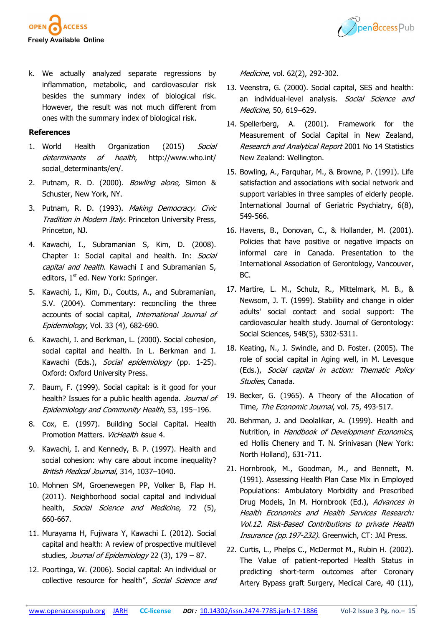



k. We actually analyzed separate regressions by inflammation, metabolic, and cardiovascular risk besides the summary index of biological risk. However, the result was not much different from ones with the summary index of biological risk.

#### **References**

- 1. World Health Organization (2015) Social determinants of health, http://www.who.int/ social\_determinants/en/.
- 2. Putnam, R. D. (2000). *Bowling alone,* Simon & Schuster, New York, NY.
- 3. Putnam, R. D. (1993). Making Democracy, Civic Tradition in Modern Italy. Princeton University Press, Princeton, NJ.
- 4. Kawachi, I., Subramanian S, Kim, D. (2008). Chapter 1: Social capital and health. In: Social capital and health. Kawachi I and Subramanian S, editors,  $1<sup>st</sup>$  ed. New York: Springer.
- 5. Kawachi, I., Kim, D., Coutts, A., and Subramanian, S.V. (2004). Commentary: reconciling the three accounts of social capital, International Journal of Epidemiology, Vol. 33 (4), 682-690.
- 6. Kawachi, I. and Berkman, L. (2000). Social cohesion, social capital and health. In L. Berkman and I. Kawachi (Eds.), Social epidemiology (pp. 1-25). Oxford: Oxford University Press.
- 7. Baum, F. (1999). Social capital: is it good for your health? Issues for a public health agenda. Journal of Epidemiology and Community Health, 53, 195–196.
- 8. Cox, E. (1997). Building Social Capital. Health Promotion Matters. VicHealth issue 4.
- 9. Kawachi, I. and Kennedy, B. P. (1997). Health and social cohesion: why care about income inequality? British Medical Journal, 314, 1037–1040.
- 10. Mohnen SM, Groenewegen PP, Volker B, Flap H. (2011). Neighborhood social capital and individual health, Social Science and Medicine, 72 (5), 660-667.
- 11. Murayama H, Fujiwara Y, Kawachi I. (2012). Social capital and health: A review of prospective multilevel studies, Journal of Epidemiology 22 (3), 179 - 87.
- 12. Poortinga, W. (2006). Social capital: An individual or collective resource for health", Social Science and

Medicine, vol. 62(2), 292-302.

- 13. Veenstra, G. (2000). Social capital, SES and health: an individual-level analysis. Social Science and Medicine, 50, 619–629.
- 14. Spellerberg, A. (2001). Framework for the Measurement of Social Capital in New Zealand, Research and Analytical Report 2001 No 14 Statistics New Zealand: Wellington.
- 15. Bowling, A., Farquhar, M., & Browne, P. (1991). Life satisfaction and associations with social network and support variables in three samples of elderly people. International Journal of Geriatric Psychiatry, 6(8), 549-566.
- 16. Havens, B., Donovan, C., & Hollander, M. (2001). Policies that have positive or negative impacts on informal care in Canada. Presentation to the International Association of Gerontology, Vancouver, BC.
- 17. Martire, L. M., Schulz, R., Mittelmark, M. B., & Newsom, J. T. (1999). Stability and change in older adults' social contact and social support: The cardiovascular health study. Journal of Gerontology: Social Sciences, 54B(5), S302-S311.
- 18. Keating, N., J. Swindle, and D. Foster. (2005). The role of social capital in Aging well, in M. Levesque (Eds.), Social capital in action: Thematic Policy Studies, Canada.
- 19. Becker, G. (1965). A Theory of the Allocation of Time, The Economic Journal, vol. 75, 493-517.
- 20. Behrman, J. and Deolalikar, A. (1999). Health and Nutrition, in Handbook of Development Economics, ed Hollis Chenery and T. N. Srinivasan (New York: North Holland), 631-711.
- 21. Hornbrook, M., Goodman, M., and Bennett, M. (1991). Assessing Health Plan Case Mix in Employed Populations: Ambulatory Morbidity and Prescribed Drug Models, In M. Hornbrook (Ed.), Advances in Health Economics and Health Services Research: Vol.12. Risk-Based Contributions to private Health Insurance (pp.197-232). Greenwich, CT: JAI Press.
- 22. Curtis, L., Phelps C., McDermot M., Rubin H. (2002). The Value of patient-reported Health Status in predicting short-term outcomes after Coronary Artery Bypass graft Surgery, Medical Care, 40 (11),